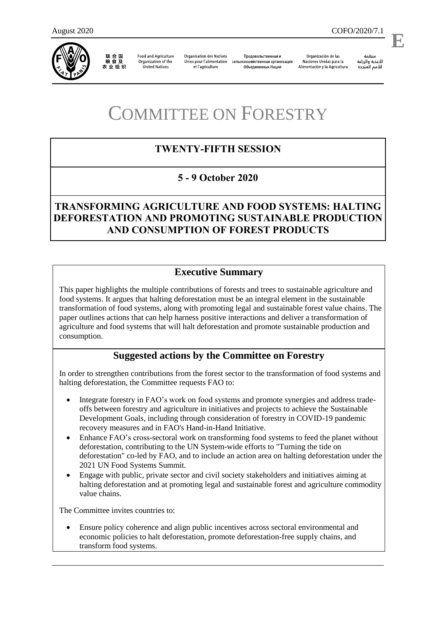

联合国 粮食及 农业组织

**Food and Agriculture** Organization of the **United Nations** 

**Organisation des Nations** Unies pour l'alimentation сельскохозяйственная организация et l'agriculture

Продовольственная и Объединенных Наций

Organización de las Naciones Unidas para la Alimentación y la Agricultura

منظمة الأغذية والزراعة للأمم المتحدة

.

COMMITTEE ON FORESTRY

# **TWENTY-FIFTH SESSION**

## **5 - 9 October 2020**

## **TRANSFORMING AGRICULTURE AND FOOD SYSTEMS: HALTING DEFORESTATION AND PROMOTING SUSTAINABLE PRODUCTION AND CONSUMPTION OF FOREST PRODUCTS**

## **Executive Summary**

This paper highlights the multiple contributions of forests and trees to sustainable agriculture and food systems. It argues that halting deforestation must be an integral element in the sustainable transformation of food systems, along with promoting legal and sustainable forest value chains. The paper outlines actions that can help harness positive interactions and deliver a transformation of agriculture and food systems that will halt deforestation and promote sustainable production and consumption.

## **Suggested actions by the Committee on Forestry**

In order to strengthen contributions from the forest sector to the transformation of food systems and halting deforestation, the Committee requests FAO to:

- Integrate forestry in FAO's work on food systems and promote synergies and address tradeoffs between forestry and agriculture in initiatives and projects to achieve the Sustainable Development Goals, including through consideration of forestry in COVID-19 pandemic recovery measures and in FAO's Hand-in-Hand Initiative.
- Enhance FAO's cross-sectoral work on transforming food systems to feed the planet without deforestation, contributing to the UN System-wide efforts to "Turning the tide on deforestation" co-led by FAO, and to include an action area on halting deforestation under the 2021 UN Food Systems Summit.
- Engage with public, private sector and civil society stakeholders and initiatives aiming at halting deforestation and at promoting legal and sustainable forest and agriculture commodity value chains.

The Committee invites countries to:

 Ensure policy coherence and align public incentives across sectoral environmental and economic policies to halt deforestation, promote deforestation-free supply chains, and transform food systems.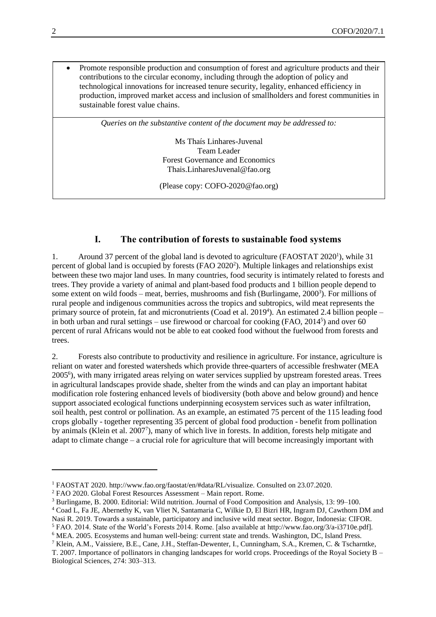Promote responsible production and consumption of forest and agriculture products and their contributions to the circular economy, including through the adoption of policy and technological innovations for increased tenure security, legality, enhanced efficiency in production, improved market access and inclusion of smallholders and forest communities in sustainable forest value chains.

*Queries on the substantive content of the document may be addressed to:*

Ms Thaís Linhares-Juvenal Team Leader Forest Governance and Economics Thais.LinharesJuvenal@fao.org

(Please copy: COFO-2020@fao.org)

### **I. The contribution of forests to sustainable food systems**

1. Around 37 percent of the global land is devoted to agriculture (FAOSTAT 2020<sup>1</sup>), while 31 percent of global land is occupied by forests (FAO 2020<sup>2</sup>). Multiple linkages and relationships exist between these two major land uses. In many countries, food security is intimately related to forests and trees. They provide a variety of animal and plant-based food products and 1 billion people depend to some extent on wild foods – meat, berries, mushrooms and fish (Burlingame, 2000<sup>3</sup>). For millions of rural people and indigenous communities across the tropics and subtropics, wild meat represents the primary source of protein, fat and micronutrients (Coad et al. 2019<sup>4</sup>). An estimated 2.4 billion people – in both urban and rural settings – use firewood or charcoal for cooking (FAO, 2014<sup>5</sup>) and over 60 percent of rural Africans would not be able to eat cooked food without the fuelwood from forests and trees.

2. Forests also contribute to productivity and resilience in agriculture. For instance, agriculture is reliant on water and forested watersheds which provide three-quarters of accessible freshwater (MEA 2005<sup>6</sup> ), with many irrigated areas relying on water services supplied by upstream forested areas. Trees in agricultural landscapes provide shade, shelter from the winds and can play an important habitat modification role fostering enhanced levels of biodiversity (both above and below ground) and hence support associated ecological functions underpinning ecosystem services such as water infiltration, soil health, pest control or pollination. As an example, an estimated 75 percent of the 115 leading food crops globally - together representing 35 percent of global food production - benefit from pollination by animals (Klein et al. 2007<sup>7</sup>), many of which live in forests. In addition, forests help mitigate and adapt to climate change – a crucial role for agriculture that will become increasingly important with

 $\overline{a}$ 

<sup>1</sup> FAOSTAT 2020. http://www.fao.org/faostat/en/#data/RL/visualize. Consulted on 23.07.2020.

<sup>2</sup> FAO 2020. Global Forest Resources Assessment – Main report. Rome.

<sup>3</sup> Burlingame, B. 2000. Editorial: Wild nutrition. Journal of Food Composition and Analysis, 13: 99–100.

<sup>4</sup> Coad L, Fa JE, Abernethy K, van Vliet N, Santamaria C, Wilkie D, El Bizri HR, Ingram DJ, Cawthorn DM and Nasi R. 2019. Towards a sustainable, participatory and inclusive wild meat sector. Bogor, Indonesia: CIFOR.

<sup>5</sup> FAO. 2014. State of the World's Forests 2014. Rome. [also available at http://www.fao.org/3/a-i3710e.pdf].

<sup>6</sup> MEA. 2005. Ecosystems and human well-being: current state and trends. Washington, DC, Island Press.

<sup>7</sup> Klein, A.M., Vaissiere, B.E., Cane, J.H., Steffan-Dewenter, I., Cunningham, S.A., Kremen, C. & Tscharntke, T. 2007. Importance of pollinators in changing landscapes for world crops. Proceedings of the Royal Society B – Biological Sciences, 274: 303–313.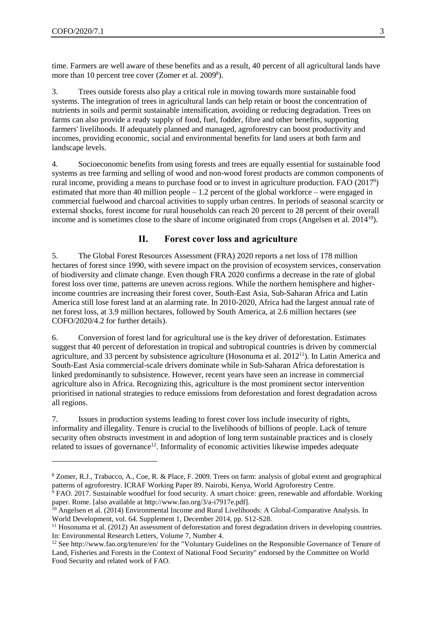$\overline{a}$ 

time. Farmers are well aware of these benefits and as a result, 40 percent of all agricultural lands have more than 10 percent tree cover (Zomer et al. 2009<sup>8</sup>).

3. Trees outside forests also play a critical role in moving towards more sustainable food systems. The integration of trees in agricultural lands can help retain or boost the concentration of nutrients in soils and permit sustainable intensification, avoiding or reducing degradation. Trees on farms can also provide a ready supply of food, fuel, fodder, fibre and other benefits, supporting farmers' livelihoods. If adequately planned and managed, agroforestry can boost productivity and incomes, providing economic, social and environmental benefits for land users at both farm and landscape levels.

4. Socioeconomic benefits from using forests and trees are equally essential for sustainable food systems as tree farming and selling of wood and non-wood forest products are common components of rural income, providing a means to purchase food or to invest in agriculture production. FAO (2017<sup>9</sup>) estimated that more than 40 million people – 1.2 percent of the global workforce – were engaged in commercial fuelwood and charcoal activities to supply urban centres. In periods of seasonal scarcity or external shocks, forest income for rural households can reach 20 percent to 28 percent of their overall income and is sometimes close to the share of income originated from crops (Angelsen et al. 2014<sup>10</sup>).

#### **II. Forest cover loss and agriculture**

5. The Global Forest Resources Assessment (FRA) 2020 reports a net loss of 178 million hectares of forest since 1990, with severe impact on the provision of ecosystem services, conservation of biodiversity and climate change. Even though FRA 2020 confirms a decrease in the rate of global forest loss over time, patterns are uneven across regions. While the northern hemisphere and higherincome countries are increasing their forest cover, South-East Asia, Sub-Saharan Africa and Latin America still lose forest land at an alarming rate. In 2010-2020, Africa had the largest annual rate of net forest loss, at 3.9 million hectares, followed by South America, at 2.6 million hectares (see COFO/2020/4.2 for further details).

6. Conversion of forest land for agricultural use is the key driver of deforestation. Estimates suggest that 40 percent of deforestation in tropical and subtropical countries is driven by commercial agriculture, and 33 percent by subsistence agriculture (Hosonuma et al. 2012<sup>11</sup>). In Latin America and South-East Asia commercial-scale drivers dominate while in Sub-Saharan Africa deforestation is linked predominantly to subsistence. However, recent years have seen an increase in commercial agriculture also in Africa. Recognizing this, agriculture is the most prominent sector intervention prioritised in national strategies to reduce emissions from deforestation and forest degradation across all regions.

7. Issues in production systems leading to forest cover loss include insecurity of rights, informality and illegality. Tenure is crucial to the livelihoods of billions of people. Lack of tenure security often obstructs investment in and adoption of long term sustainable practices and is closely related to issues of governance<sup>12</sup>. Informality of economic activities likewise impedes adequate

<sup>8</sup> Zomer, R.J., Trabucco, A., Coe, R. & Place, F. 2009. Trees on farm: analysis of global extent and geographical patterns of agroforestry. ICRAF Working Paper 89. Nairobi, Kenya, World Agroforestry Centre.

<sup>&</sup>lt;sup>9</sup> FAO. 2017. Sustainable woodfuel for food security. A smart choice: green, renewable and affordable. Working paper. Rome. [also available at http://www.fao.org/3/a-i7917e.pdf].

<sup>&</sup>lt;sup>10</sup> Angelsen et al. (2014) Environmental Income and Rural Livelihoods: A Global-Comparative Analysis. In World Development, vol. 64. Supplement 1, December 2014, pp. S12-S28.

<sup>&</sup>lt;sup>11</sup> Hosonuma et al. (2012) An assessment of deforestation and forest degradation drivers in developing countries. In: Environmental Research Letters, Volume 7, Number 4.

<sup>12</sup> See<http://www.fao.org/tenure/en/> for the "Voluntary Guidelines on the Responsible Governance of Tenure of Land, Fisheries and Forests in the Context of National Food Security" endorsed by the Committee on World Food Security and related work of FAO.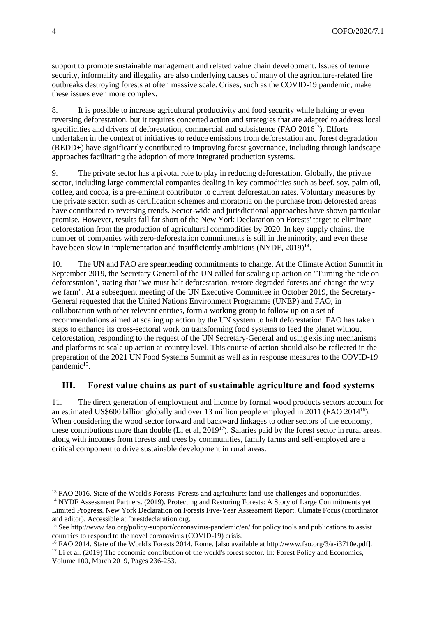support to promote sustainable management and related value chain development. Issues of tenure security, informality and illegality are also underlying causes of many of the agriculture-related fire outbreaks destroying forests at often massive scale. Crises, such as the COVID-19 pandemic, make these issues even more complex.

8. It is possible to increase agricultural productivity and food security while halting or even reversing deforestation, but it requires concerted action and strategies that are adapted to address local specificities and drivers of deforestation, commercial and subsistence (FAO  $2016^{13}$ ). Efforts undertaken in the context of initiatives to reduce emissions from deforestation and forest degradation (REDD+) have significantly contributed to improving forest governance, including through landscape approaches facilitating the adoption of more integrated production systems.

9. The private sector has a pivotal role to play in reducing deforestation. Globally, the private sector, including large commercial companies dealing in key commodities such as beef, soy, palm oil, coffee, and cocoa, is a pre-eminent contributor to current deforestation rates. Voluntary measures by the private sector, such as certification schemes and moratoria on the purchase from deforested areas have contributed to reversing trends. Sector-wide and jurisdictional approaches have shown particular promise. However, results fall far short of the New York Declaration on Forests' target to eliminate deforestation from the production of agricultural commodities by 2020. In key supply chains, the number of companies with zero-deforestation commitments is still in the minority, and even these have been slow in implementation and insufficiently ambitious (NYDF, 2019)<sup>14</sup>.

10. The UN and FAO are spearheading commitments to change. At the Climate Action Summit in September 2019, the Secretary General of the UN called for scaling up action on "Turning the tide on deforestation", stating that "we must halt deforestation, restore degraded forests and change the way we farm". At a subsequent meeting of the UN Executive Committee in October 2019, the Secretary-General requested that the United Nations Environment Programme (UNEP) and FAO, in collaboration with other relevant entities, form a working group to follow up on a set of recommendations aimed at scaling up action by the UN system to halt deforestation. FAO has taken steps to enhance its cross-sectoral work on transforming food systems to feed the planet without deforestation, responding to the request of the UN Secretary-General and using existing mechanisms and platforms to scale up action at country level. This course of action should also be reflected in the preparation of the 2021 UN Food Systems Summit as well as in response measures to the COVID-19 pandemic<sup>15</sup>.

### **III. Forest value chains as part of sustainable agriculture and food systems**

11. The direct generation of employment and income by formal wood products sectors account for an estimated US\$600 billion globally and over 13 million people employed in 2011 (FAO 2014<sup>16</sup>). When considering the wood sector forward and backward linkages to other sectors of the economy, these contributions more than double (Li et al,  $2019<sup>17</sup>$ ). Salaries paid by the forest sector in rural areas, along with incomes from forests and trees by communities, family farms and self-employed are a critical component to drive sustainable development in rural areas.

l

<sup>&</sup>lt;sup>13</sup> FAO 2016. State of the World's Forests. Forests and agriculture: land-use challenges and opportunities. <sup>14</sup> NYDF Assessment Partners. (2019). Protecting and Restoring Forests: A Story of Large Commitments yet Limited Progress. New York Declaration on Forests Five-Year Assessment Report. Climate Focus (coordinator

and editor). Accessible at forestdeclaration.org.

<sup>15</sup> See<http://www.fao.org/policy-support/coronavirus-pandemic/en/> for policy tools and publications to assist countries to respond to the novel coronavirus (COVID-19) crisis.

<sup>16</sup> FAO 2014. State of the World's Forests 2014. Rome. [also available at http://www.fao.org/3/a-i3710e.pdf]. <sup>17</sup> Li et al. (2019) The economic contribution of the world's forest sector. In: Forest Policy and Economics, Volume 100, March 2019, Pages 236-253.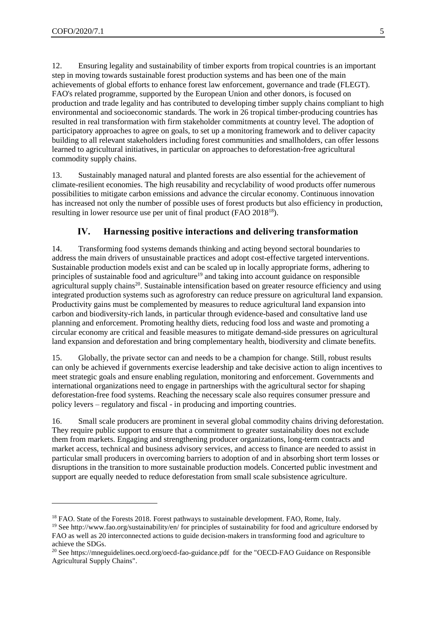l

12. Ensuring legality and sustainability of timber exports from tropical countries is an important step in moving towards sustainable forest production systems and has been one of the main achievements of global efforts to enhance forest law enforcement, governance and trade (FLEGT). FAO's related programme, supported by the European Union and other donors, is focused on production and trade legality and has contributed to developing timber supply chains compliant to high environmental and socioeconomic standards. The work in 26 tropical timber-producing countries has resulted in real transformation with firm stakeholder commitments at country level. The adoption of participatory approaches to agree on goals, to set up a monitoring framework and to deliver capacity building to all relevant stakeholders including forest communities and smallholders, can offer lessons learned to agricultural initiatives, in particular on approaches to deforestation-free agricultural commodity supply chains.

13. Sustainably managed natural and planted forests are also essential for the achievement of climate-resilient economies. The high reusability and recyclability of wood products offer numerous possibilities to mitigate carbon emissions and advance the circular economy. Continuous innovation has increased not only the number of possible uses of forest products but also efficiency in production, resulting in lower resource use per unit of final product (FAO 2018<sup>18</sup>).

#### **IV. Harnessing positive interactions and delivering transformation**

14. Transforming food systems demands thinking and acting beyond sectoral boundaries to address the main drivers of unsustainable practices and adopt cost-effective targeted interventions. Sustainable production models exist and can be scaled up in locally appropriate forms, adhering to principles of sustainable food and agriculture<sup>19</sup> and taking into account guidance on responsible agricultural supply chains<sup>20</sup>. Sustainable intensification based on greater resource efficiency and using integrated production systems such as agroforestry can reduce pressure on agricultural land expansion. Productivity gains must be complemented by measures to reduce agricultural land expansion into carbon and biodiversity-rich lands, in particular through evidence-based and consultative land use planning and enforcement. Promoting healthy diets, reducing food loss and waste and promoting a circular economy are critical and feasible measures to mitigate demand-side pressures on agricultural land expansion and deforestation and bring complementary health, biodiversity and climate benefits.

15. Globally, the private sector can and needs to be a champion for change. Still, robust results can only be achieved if governments exercise leadership and take decisive action to align incentives to meet strategic goals and ensure enabling regulation, monitoring and enforcement. Governments and international organizations need to engage in partnerships with the agricultural sector for shaping deforestation-free food systems. Reaching the necessary scale also requires consumer pressure and policy levers – regulatory and fiscal - in producing and importing countries.

16. Small scale producers are prominent in several global commodity chains driving deforestation. They require public support to ensure that a commitment to greater sustainability does not exclude them from markets. Engaging and strengthening producer organizations, long-term contracts and market access, technical and business advisory services, and access to finance are needed to assist in particular small producers in overcoming barriers to adoption of and in absorbing short term losses or disruptions in the transition to more sustainable production models. Concerted public investment and support are equally needed to reduce deforestation from small scale subsistence agriculture.

<sup>&</sup>lt;sup>18</sup> FAO. State of the Forests 2018. Forest pathways to sustainable development. FAO, Rome, Italy.

<sup>&</sup>lt;sup>19</sup> See<http://www.fao.org/sustainability/en/> for principles of sustainability for food and agriculture endorsed by FAO as well as 20 interconnected actions to guide decision-makers in transforming food and agriculture to achieve the SDGs.

<sup>20</sup> See<https://mneguidelines.oecd.org/oecd-fao-guidance.pdf> for the "OECD-FAO Guidance on Responsible Agricultural Supply Chains".